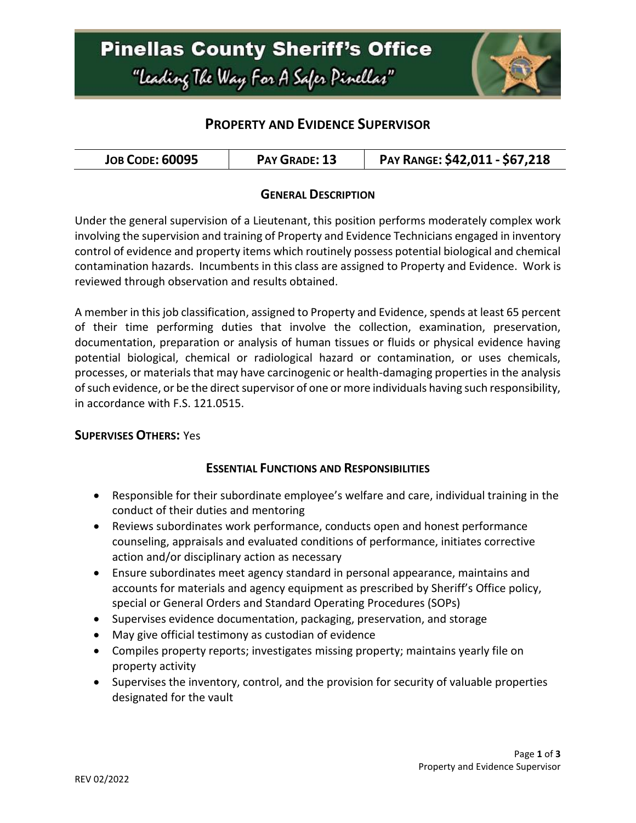

## **PROPERTY AND EVIDENCE SUPERVISOR**

| <b>JOB CODE: 60095</b><br>PAY GRADE: 13 | PAY RANGE: \$42,011 - \$67,218 |
|-----------------------------------------|--------------------------------|
|-----------------------------------------|--------------------------------|

### **GENERAL DESCRIPTION**

Under the general supervision of a Lieutenant, this position performs moderately complex work involving the supervision and training of Property and Evidence Technicians engaged in inventory control of evidence and property items which routinely possess potential biological and chemical contamination hazards. Incumbents in this class are assigned to Property and Evidence. Work is reviewed through observation and results obtained.

A member in this job classification, assigned to Property and Evidence, spends at least 65 percent of their time performing duties that involve the collection, examination, preservation, documentation, preparation or analysis of human tissues or fluids or physical evidence having potential biological, chemical or radiological hazard or contamination, or uses chemicals, processes, or materials that may have carcinogenic or health-damaging properties in the analysis of such evidence, or be the direct supervisor of one or more individuals having such responsibility, in accordance with F.S. 121.0515.

#### **SUPERVISES OTHERS:** Yes

### **ESSENTIAL FUNCTIONS AND RESPONSIBILITIES**

- Responsible for their subordinate employee's welfare and care, individual training in the conduct of their duties and mentoring
- Reviews subordinates work performance, conducts open and honest performance counseling, appraisals and evaluated conditions of performance, initiates corrective action and/or disciplinary action as necessary
- Ensure subordinates meet agency standard in personal appearance, maintains and accounts for materials and agency equipment as prescribed by Sheriff's Office policy, special or General Orders and Standard Operating Procedures (SOPs)
- Supervises evidence documentation, packaging, preservation, and storage
- May give official testimony as custodian of evidence
- Compiles property reports; investigates missing property; maintains yearly file on property activity
- Supervises the inventory, control, and the provision for security of valuable properties designated for the vault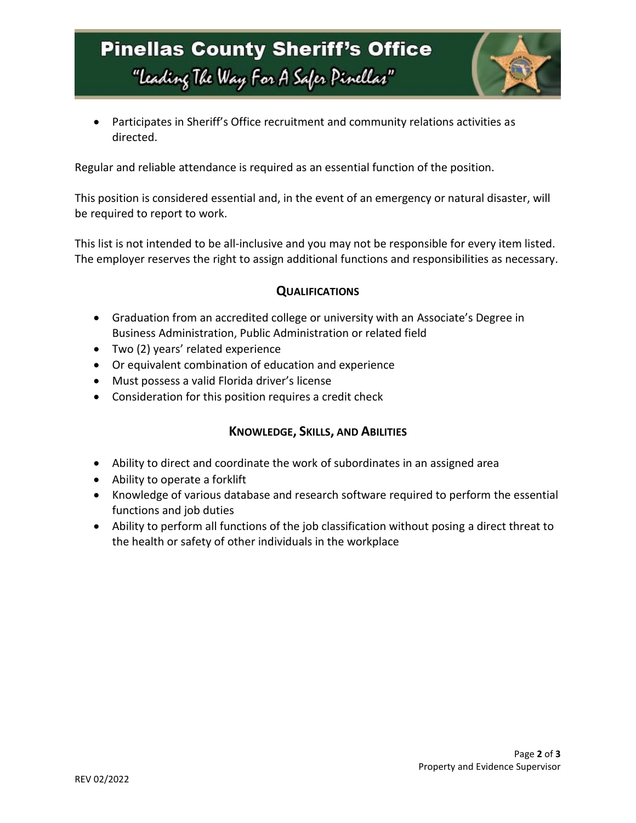# **Pinellas County Sheriff's Office** "Leading The Way For A Safer Pinellar"



 Participates in Sheriff's Office recruitment and community relations activities as directed.

Regular and reliable attendance is required as an essential function of the position.

This position is considered essential and, in the event of an emergency or natural disaster, will be required to report to work.

This list is not intended to be all-inclusive and you may not be responsible for every item listed. The employer reserves the right to assign additional functions and responsibilities as necessary.

### **QUALIFICATIONS**

- Graduation from an accredited college or university with an Associate's Degree in Business Administration, Public Administration or related field
- Two (2) years' related experience
- Or equivalent combination of education and experience
- Must possess a valid Florida driver's license
- Consideration for this position requires a credit check

### **KNOWLEDGE, SKILLS, AND ABILITIES**

- Ability to direct and coordinate the work of subordinates in an assigned area
- Ability to operate a forklift
- Knowledge of various database and research software required to perform the essential functions and job duties
- Ability to perform all functions of the job classification without posing a direct threat to the health or safety of other individuals in the workplace